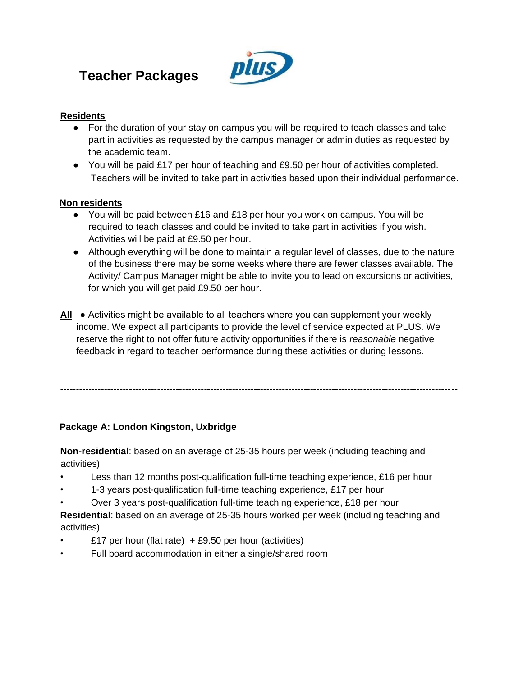# **Teacher Packages**



#### **Residents**

- For the duration of your stay on campus you will be required to teach classes and take part in activities as requested by the campus manager or admin duties as requested by the academic team.
- You will be paid £17 per hour of teaching and £9.50 per hour of activities completed. Teachers will be invited to take part in activities based upon their individual performance.

#### **Non residents**

- You will be paid between £16 and £18 per hour you work on campus. You will be required to teach classes and could be invited to take part in activities if you wish. Activities will be paid at £9.50 per hour.
- Although everything will be done to maintain a regular level of classes, due to the nature of the business there may be some weeks where there are fewer classes available. The Activity/ Campus Manager might be able to invite you to lead on excursions or activities, for which you will get paid £9.50 per hour.
- **All** Activities might be available to all teachers where you can supplement your weekly income. We expect all participants to provide the level of service expected at PLUS. We reserve the right to not offer future activity opportunities if there is *reasonable* negative feedback in regard to teacher performance during these activities or during lessons.

-------------------------------------------------------------------------------------------------------------------------------

#### **Package A: London Kingston, Uxbridge**

**Non-residential**: based on an average of 25-35 hours per week (including teaching and activities)

- Less than 12 months post-qualification full-time teaching experience, £16 per hour
- 1-3 years post-qualification full-time teaching experience, £17 per hour
- Over 3 years post-qualification full-time teaching experience, £18 per hour

**Residential**: based on an average of 25-35 hours worked per week (including teaching and activities)

- £17 per hour (flat rate)  $+ £9.50$  per hour (activities)
- Full board accommodation in either a single/shared room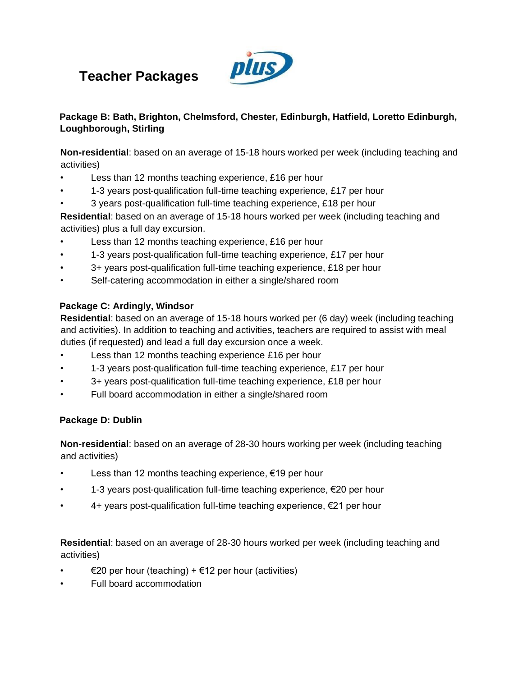# **Teacher Packages**



### **Package B: Bath, Brighton, Chelmsford, Chester, Edinburgh, Hatfield, Loretto Edinburgh, Loughborough, Stirling**

**Non-residential**: based on an average of 15-18 hours worked per week (including teaching and activities)

- Less than 12 months teaching experience, £16 per hour
- 1-3 years post-qualification full-time teaching experience, £17 per hour
- 3 years post-qualification full-time teaching experience, £18 per hour

**Residential**: based on an average of 15-18 hours worked per week (including teaching and activities) plus a full day excursion.

- Less than 12 months teaching experience, £16 per hour
- 1-3 years post-qualification full-time teaching experience, £17 per hour
- 3+ years post-qualification full-time teaching experience, £18 per hour
- Self-catering accommodation in either a single/shared room

### **Package C: Ardingly, Windsor**

**Residential**: based on an average of 15-18 hours worked per (6 day) week (including teaching and activities). In addition to teaching and activities, teachers are required to assist with meal duties (if requested) and lead a full day excursion once a week.

- Less than 12 months teaching experience £16 per hour
- 1-3 years post-qualification full-time teaching experience, £17 per hour
- 3+ years post-qualification full-time teaching experience, £18 per hour
- Full board accommodation in either a single/shared room

## **Package D: Dublin**

**Non-residential**: based on an average of 28-30 hours working per week (including teaching and activities)

- Less than 12 months teaching experience,  $€19$  per hour
- 1-3 years post-qualification full-time teaching experience, €20 per hour
- 4+ years post-qualification full-time teaching experience, €21 per hour

**Residential**: based on an average of 28-30 hours worked per week (including teaching and activities)

- €20 per hour (teaching) + €12 per hour (activities)
- Full board accommodation